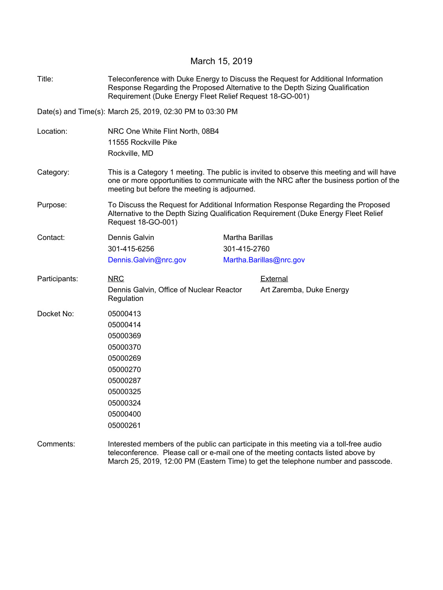## March 15, 2019

| Title:        | Teleconference with Duke Energy to Discuss the Request for Additional Information<br>Response Regarding the Proposed Alternative to the Depth Sizing Qualification<br>Requirement (Duke Energy Fleet Relief Request 18-GO-001)       |                         |                          |  |  |  |
|---------------|--------------------------------------------------------------------------------------------------------------------------------------------------------------------------------------------------------------------------------------|-------------------------|--------------------------|--|--|--|
|               | Date(s) and Time(s): March 25, 2019, 02:30 PM to 03:30 PM                                                                                                                                                                            |                         |                          |  |  |  |
| Location:     | NRC One White Flint North, 08B4<br>11555 Rockville Pike<br>Rockville, MD                                                                                                                                                             |                         |                          |  |  |  |
| Category:     | This is a Category 1 meeting. The public is invited to observe this meeting and will have<br>one or more opportunities to communicate with the NRC after the business portion of the<br>meeting but before the meeting is adjourned. |                         |                          |  |  |  |
| Purpose:      | To Discuss the Request for Additional Information Response Regarding the Proposed<br>Alternative to the Depth Sizing Qualification Requirement (Duke Energy Fleet Relief<br>Request 18-GO-001)                                       |                         |                          |  |  |  |
| Contact:      | Dennis Galvin                                                                                                                                                                                                                        | Martha Barillas         |                          |  |  |  |
|               | 301-415-6256                                                                                                                                                                                                                         | 301-415-2760            |                          |  |  |  |
|               | Dennis.Galvin@nrc.gov                                                                                                                                                                                                                | Martha.Barillas@nrc.gov |                          |  |  |  |
| Participants: | <b>NRC</b>                                                                                                                                                                                                                           |                         | External                 |  |  |  |
|               | Dennis Galvin, Office of Nuclear Reactor<br>Regulation                                                                                                                                                                               |                         | Art Zaremba, Duke Energy |  |  |  |
| Docket No:    | 05000413                                                                                                                                                                                                                             |                         |                          |  |  |  |
|               | 05000414                                                                                                                                                                                                                             |                         |                          |  |  |  |
|               | 05000369                                                                                                                                                                                                                             |                         |                          |  |  |  |
|               | 05000370                                                                                                                                                                                                                             |                         |                          |  |  |  |
|               | 05000269                                                                                                                                                                                                                             |                         |                          |  |  |  |
|               | 05000270                                                                                                                                                                                                                             |                         |                          |  |  |  |
|               | 05000287                                                                                                                                                                                                                             |                         |                          |  |  |  |
|               | 05000325                                                                                                                                                                                                                             |                         |                          |  |  |  |
|               | 05000324                                                                                                                                                                                                                             |                         |                          |  |  |  |
|               | 05000400                                                                                                                                                                                                                             |                         |                          |  |  |  |
|               | 05000261                                                                                                                                                                                                                             |                         |                          |  |  |  |
| Comments:     | Interested members of the public can participate in this meeting via a toll-free audio<br>teleconference. Please call or e-mail one of the meeting contacts listed above by                                                          |                         |                          |  |  |  |

March 25, 2019, 12:00 PM (Eastern Time) to get the telephone number and passcode.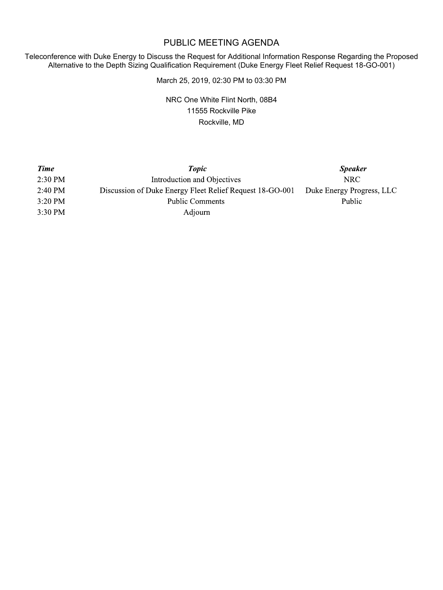## PUBLIC MEETING AGENDA

Teleconference with Duke Energy to Discuss the Request for Additional Information Response Regarding the Proposed Alternative to the Depth Sizing Qualification Requirement (Duke Energy Fleet Relief Request 18-GO-001)

March 25, 2019, 02:30 PM to 03:30 PM

NRC One White Flint North, 08B4 11555 Rockville Pike Rockville, MD

| <b>Time</b> | <b>Topic</b>                                             | <b>Speaker</b>            |
|-------------|----------------------------------------------------------|---------------------------|
| 2:30 PM     | Introduction and Objectives                              | NRC.                      |
| 2:40 PM     | Discussion of Duke Energy Fleet Relief Request 18-GO-001 | Duke Energy Progress, LLC |
| $3:20$ PM   | Public Comments                                          | <b>Public</b>             |
| $3:30$ PM   | Adjourn                                                  |                           |